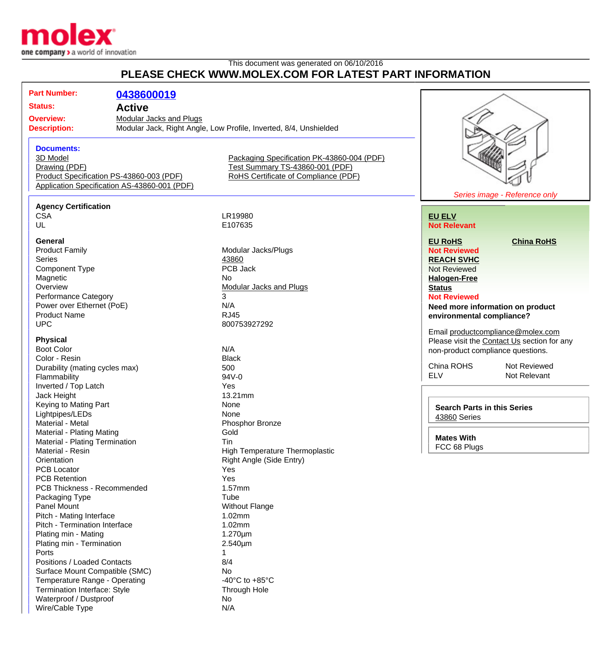

## This document was generated on 06/10/2016 **PLEASE CHECK WWW.MOLEX.COM FOR LATEST PART INFORMATION**

| <b>Part Number:</b><br>Status:<br><b>Active</b><br><b>Overview:</b><br><b>Description:</b>                                                                                            | 0438600019<br><b>Modular Jacks and Plugs</b><br>Modular Jack, Right Angle, Low Profile, Inverted, 8/4, Unshielded            |                                                                                                                                                                                                             |
|---------------------------------------------------------------------------------------------------------------------------------------------------------------------------------------|------------------------------------------------------------------------------------------------------------------------------|-------------------------------------------------------------------------------------------------------------------------------------------------------------------------------------------------------------|
| <b>Documents:</b><br>3D Model<br>Drawing (PDF)<br>Product Specification PS-43860-003 (PDF)<br>Application Specification AS-43860-001 (PDF)                                            | Packaging Specification PK-43860-004 (PDF)<br>Test Summary TS-43860-001 (PDF)<br>RoHS Certificate of Compliance (PDF)        | Series ima                                                                                                                                                                                                  |
| <b>Agency Certification</b>                                                                                                                                                           |                                                                                                                              |                                                                                                                                                                                                             |
| <b>CSA</b>                                                                                                                                                                            | LR19980                                                                                                                      | <b>EU ELV</b>                                                                                                                                                                                               |
| UL                                                                                                                                                                                    | E107635                                                                                                                      | <b>Not Relevant</b>                                                                                                                                                                                         |
| General<br><b>Product Family</b><br>Series<br><b>Component Type</b><br>Magnetic<br>Overview<br>Performance Category<br>Power over Ethernet (PoE)<br><b>Product Name</b><br><b>UPC</b> | Modular Jacks/Plugs<br>43860<br>PCB Jack<br>No.<br><b>Modular Jacks and Plugs</b><br>3<br>N/A<br><b>RJ45</b><br>800753927292 | <b>EU RoHS</b><br><b>Not Reviewed</b><br><b>REACH SVHC</b><br><b>Not Reviewed</b><br><b>Halogen-Free</b><br><b>Status</b><br><b>Not Reviewed</b><br>Need more infor<br>environmental co<br>Email productcom |
| <b>Physical</b><br><b>Boot Color</b><br>Color - Resin<br>Durability (mating cycles max)<br>Flammability<br>Inverted / Top Latch<br>Jack Height<br>Keying to Mating Part               | N/A<br><b>Black</b><br>500<br>94V-0<br>Yes<br>13.21mm<br>None                                                                | Please visit the C<br>non-product comp<br>China ROHS<br><b>ELV</b><br><b>Search Parts in</b>                                                                                                                |
| Lightpipes/LEDs<br>Material - Metal<br>Material - Plating Mating<br>Material - Plating Termination<br>Material - Resin<br>Orientation                                                 | None<br>Phosphor Bronze<br>Gold<br>Tin<br>High Temperature Thermoplastic<br>Right Angle (Side Entry)                         | 43860 Series<br><b>Mates With</b><br>FCC 68 Plugs                                                                                                                                                           |

age - Reference only

**[China RoHS](http://www.molex.com/molex/common/staticLoader.jsp?fileName=/cmc_upload/0/000/-12/201/china_RoHS.html#china)** 

**mation on product empliance?** 

npliance@molex.com ontact Us section for any oliance questions.

> **Not Reviewed** Not Relevant

**n** this Series

PCB Locator **Yes** PCB Retention The Vest Network of the Vest Network of Vest Network of Vest Network of Vest Network of Vest Network of Vest Network of Vest Network of Vest Network of Vest Network of Vest Network of Vest Network of Vest Net PCB Thickness - Recommended 1.57mm Packaging Type Tube Tube Panel Mount Panel Mount Panel Mount Pitch - Mating Interface 1.02mm Pitch - Termination Interface 1.02mm Plating min - Mating 1.270um Plating min - Termination 2.540um Ports 2012 and 2012 and 2012 and 2012 and 2012 and 2012 and 2012 and 2012 and 2012 and 2012 and 2013 and 2013 Positions / Loaded Contacts 8/4 Surface Mount Compatible (SMC)<br>
Temperature Range - Operating<br>
All the Mange - Operating<br>
Surface Monday Company -40°C to +85°C Temperature Range - Operating Temperature Range - Operating Francisco -40°C to +85°C<br>Termination Interface: Style Francisco - Through Hole Termination Interface: Style Waterproof / Dustproof No Wire/Cable Type N/A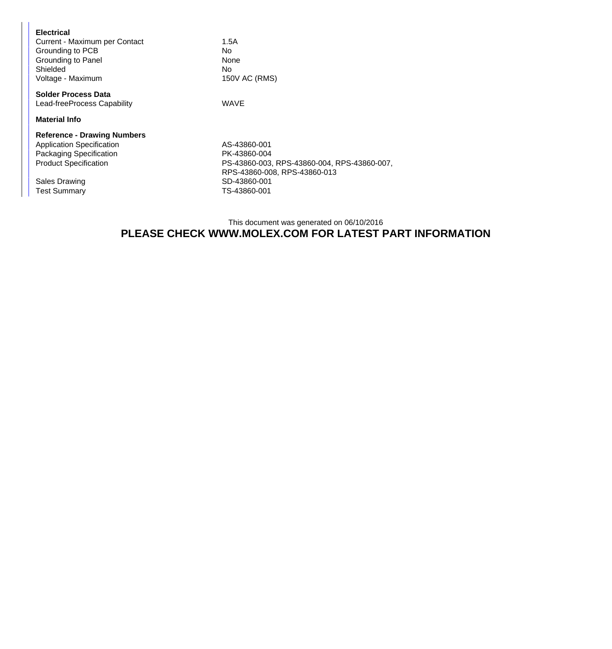| 1.5A<br>No.<br>None<br>No.<br>150V AC (RMS)  |
|----------------------------------------------|
| WAVE                                         |
|                                              |
| AS-43860-001                                 |
| PK-43860-004                                 |
| PS-43860-003, RPS-43860-004, RPS-43860-007,  |
| RPS-43860-008, RPS-43860-013<br>SD-43860-001 |
| TS-43860-001                                 |
|                                              |

## This document was generated on 06/10/2016 **PLEASE CHECK WWW.MOLEX.COM FOR LATEST PART INFORMATION**